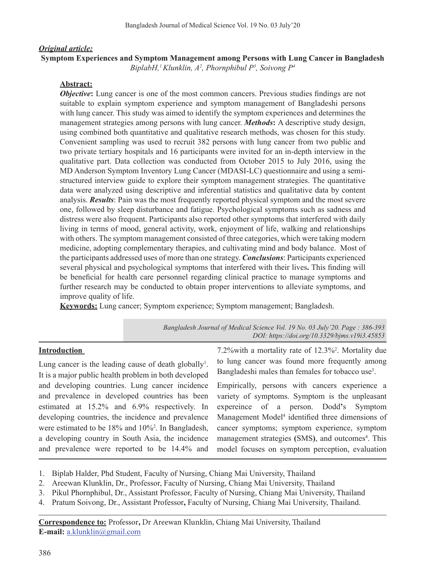### *Original article:*

**Symptom Experiences and Symptom Management among Persons with Lung Cancer in Bangladesh** *BiplabH,1 Klunklin, A2 , Phornphibul P3 , Soivong P4*

# **Abstract:**

*Objective*: Lung cancer is one of the most common cancers. Previous studies findings are not suitable to explain symptom experience and symptom management of Bangladeshi persons with lung cancer. This study was aimed to identify the symptom experiences and determines the management strategies among persons with lung cancer. *Methods***:** A descriptive study design, using combined both quantitative and qualitative research methods, was chosen for this study. Convenient sampling was used to recruit 382 persons with lung cancer from two public and two private tertiary hospitals and 16 participants were invited for an in-depth interview in the qualitative part. Data collection was conducted from October 2015 to July 2016, using the MD Anderson Symptom Inventory Lung Cancer (MDASI-LC) questionnaire and using a semistructured interview guide to explore their symptom management strategies. The quantitative data were analyzed using descriptive and inferential statistics and qualitative data by content analysis. *Results*: Pain was the most frequently reported physical symptom and the most severe one, followed by sleep disturbance and fatigue. Psychological symptoms such as sadness and distress were also frequent. Participants also reported other symptoms that interfered with daily living in terms of mood, general activity, work, enjoyment of life, walking and relationships with others. The symptom management consisted of three categories, which were taking modern medicine, adopting complementary therapies, and cultivating mind and body balance. Most of the participants addressed uses of more than one strategy. *Conclusions*: Participants experienced several physical and psychological symptoms that interfered with their lives**.** This finding will be beneficial for health care personnel regarding clinical practice to manage symptoms and further research may be conducted to obtain proper interventions to alleviate symptoms, and improve quality of life.

**Keywords:** Lung cancer; Symptom experience; Symptom management; Bangladesh.

| Bangladesh Journal of Medical Science Vol. 19 No. 03 July '20. Page: 386-393 |
|------------------------------------------------------------------------------|
| DOI: https://doi.org/10.3329/bjms.v19i3.45853                                |

### **Introduction**

Lung cancer is the leading cause of death globally<sup>1</sup>. It is a major public health problem in both developed and developing countries. Lung cancer incidence and prevalence in developed countries has been estimated at 15.2% and 6.9% respectively. In developing countries, the incidence and prevalence were estimated to be 18% and 10%<sup>2</sup>. In Bangladesh, a developing country in South Asia, the incidence and prevalence were reported to be 14.4% and

7.2%with a mortality rate of 12.3%<sup>2</sup> . Mortality due to lung cancer was found more frequently among Bangladeshi males than females for tobacco use<sup>3</sup>.

Empirically, persons with cancers experience a variety of symptoms. Symptom is the unpleasant expereince of a person. Dodd**'**s Symptom Management Model<sup>4</sup> identified three dimensions of cancer symptoms; symptom experience, symptom management strategies (SMS), and outcomes<sup>4</sup>. This model focuses on symptom perception, evaluation

- 1. Biplab Halder, Phd Student, Faculty of Nursing, Chiang Mai University, Thailand
- 2. Areewan Klunklin, Dr., Professor, Faculty of Nursing, Chiang Mai University, Thailand
- 3. Pikul Phornphibul, Dr., Assistant Professor, Faculty of Nursing, Chiang Mai University, Thailand
- 4. Pratum Soivong, Dr., Assistant Professor**,** Faculty of Nursing, Chiang Mai University, Thailand.

**Correspondence to:** Professor**,** Dr Areewan Klunklin, Chiang Mai University, Thailand **E-mail:** a.klunklin@gmail.com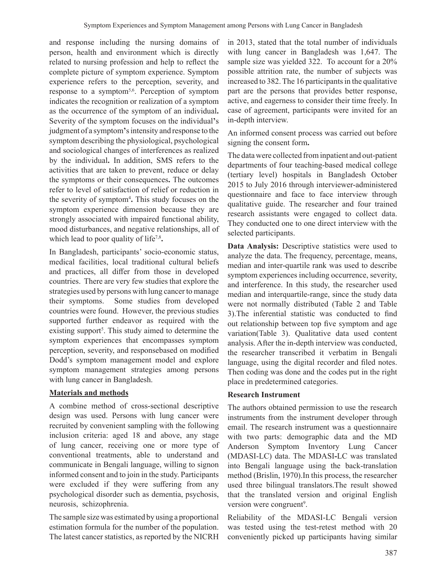and response including the nursing domains of person, health and environment which is directly related to nursing profession and help to reflect the complete picture of symptom experience. Symptom experience refers to the perception, severity, and response to a symptom<sup>5,6</sup>. Perception of symptom indicates the recognition or realization of a symptom as the occurrence of the symptom of an individual**.**  Severity of the symptom focuses on the individual**'**s judgment of a symptom**'**sintensity and response to the symptom describing the physiological, psychological and sociological changes of interferences as realized by the individual**.** In addition, SMS refers to the activities that are taken to prevent, reduce or delay the symptoms or their consequences**.** The outcomes refer to level of satisfaction of relief or reduction in the severity of symptom<sup>4</sup> **.** This study focuses on the symptom experience dimension because they are strongly associated with impaired functional ability, mood disturbances, and negative relationships, all of which lead to poor quality of life<sup>7,8</sup>.

In Bangladesh, participants' socio-economic status, medical facilities, local traditional cultural beliefs and practices, all differ from those in developed countries. There are very few studies that explore the strategies used by persons with lung cancer to manage their symptoms. Some studies from developed countries were found. However, the previous studies supported further endeavor as required with the existing support<sup>5</sup>. This study aimed to determine the symptom experiences that encompasses symptom perception, severity, and responsebased on modified Dodd's symptom management model and explore symptom management strategies among persons with lung cancer in Bangladesh.

### **Materials and methods**

A combine method of cross-sectional descriptive design was used. Persons with lung cancer were recruited by convenient sampling with the following inclusion criteria: aged 18 and above, any stage of lung cancer, receiving one or more type of conventional treatments, able to understand and communicate in Bengali language, willing to signon informed consent and to join in the study. Participants were excluded if they were suffering from any psychological disorder such as dementia, psychosis, neurosis, schizophrenia.

The sample size was estimated by using a proportional estimation formula for the number of the population. The latest cancer statistics, as reported by the NICRH in 2013, stated that the total number of individuals with lung cancer in Bangladesh was 1,647. The sample size was yielded 322. To account for a 20% possible attrition rate, the number of subjects was increased to 382. The 16 participants in the qualitative part are the persons that provides better response, active, and eagerness to consider their time freely. In case of agreement, participants were invited for an in-depth interview.

An informed consent process was carried out before signing the consent form**.** 

The data were collected frominpatient and out-patient departments of four teaching-based medical college (tertiary level) hospitals in Bangladesh October 2015 to July 2016 through interviewer-administered questionnaire and face to face interview through qualitative guide. The researcher and four trained research assistants were engaged to collect data. They conducted one to one direct interview with the selected participants.

**Data Analysis:** Descriptive statistics were used to analyze the data. The frequency, percentage, means, median and inter-quartile rank was used to describe symptom experiences including occurrence, severity, and interference. In this study, the researcher used median and interquartile-range, since the study data were not normally distributed (Table 2 and Table 3).The inferential statistic was conducted to find out relationship between top five symptom and age variation(Table 3). Qualitative data used content analysis. After the in-depth interview was conducted, the researcher transcribed it verbatim in Bengali language, using the digital recorder and filed notes. Then coding was done and the codes put in the right place in predetermined categories.

# **Research Instrument**

The authors obtained permission to use the research instruments from the instrument developer through email. The research instrument was a questionnaire with two parts: demographic data and the MD Anderson Symptom Inventory Lung Cancer (MDASI-LC) data. The MDASI**-**LC was translated into Bengali language using the back-translation method (Brislin, 1970).In this process, the researcher used three bilingual translators.The result showed that the translated version and original English version were congruent<sup>9</sup>.

Reliability of the MDASI-LC Bengali version was tested using the test-retest method with 20 conveniently picked up participants having similar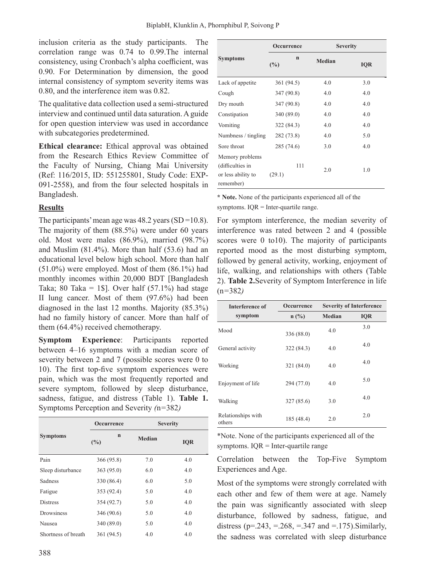inclusion criteria as the study participants. The correlation range was 0.74 to 0.99.The internal consistency, using Cronbach's alpha coefficient, was 0.90. For Determination by dimension, the good internal consistency of symptom severity items was 0.80, and the interference item was 0.82.

The qualitative data collection used a semi-structured interview and continued until data saturation.Aguide for open question interview was used in accordance with subcategories predetermined.

**Ethical clearance:** Ethical approval was obtained from the Research Ethics Review Committee of the Faculty of Nursing, Chiang Mai University (Ref: 116/2015, ID: 551255801, Study Code: EXP-091-2558), and from the four selected hospitals in Bangladesh.

### **Results**

The participants' mean age was  $48.2$  years (SD =10.8). The majority of them (88.5%) were under 60 years old. Most were males (86.9%), married (98.7%) and Muslim (81.4%). More than half (53.6) had an educational level below high school. More than half (51.0%) were employed. Most of them (86.1%) had monthly incomes within 20,000 BDT [Bangladesh Taka; 80 Taka = 1\$]. Over half  $(57.1\%)$  had stage II lung cancer. Most of them (97.6%) had been diagnosed in the last 12 months. Majority (85.3%) had no family history of cancer. More than half of them (64.4%) received chemotherapy.

**Symptom Experience**: Participants reported between 4–16 symptoms with a median score of severity between 2 and 7 (possible scores were 0 to 10). The first top-five symptom experiences were pain, which was the most frequently reported and severe symptom, followed by sleep disturbance, sadness, fatigue, and distress (Table 1). **Table 1.**  Symptoms Perception and Severity *(*n*=*382*)*

|                     | Occurrence         | <b>Severity</b> |            |  |
|---------------------|--------------------|-----------------|------------|--|
| <b>Symptoms</b>     | $\mathbf n$<br>(%) | <b>Median</b>   | <b>IQR</b> |  |
| Pain                | 366 (95.8)         | 7.0             | 4.0        |  |
| Sleep disturbance   | 363 (95.0)         | 6.0             | 4.0        |  |
| Sadness             | 330 (86.4)         | 6.0             | 5.0        |  |
| Fatigue             | 353 (92.4)         | 5.0             | 4.0        |  |
| <b>Distress</b>     | 354 (92.7)         | 5.0             | 4.0        |  |
| <b>Drowsiness</b>   | 346 (90.6)         | 5.0             | 4.0        |  |
| Nausea              | 340 (89.0)         | 5.0             | 4.0        |  |
| Shortness of breath | 361 (94.5)         | 4.0             | 4.0        |  |

|                                                                        | Occurrence         |        | <b>Severity</b> |  |
|------------------------------------------------------------------------|--------------------|--------|-----------------|--|
| <b>Symptoms</b>                                                        | $\mathbf n$<br>(%) | Median | <b>IOR</b>      |  |
| Lack of appetite                                                       | 361 (94.5)         | 4.0    | 3.0             |  |
| Cough                                                                  | 347 (90.8)         | 4.0    | 4.0             |  |
| Dry mouth                                                              | 347 (90.8)         | 4.0    | 4.0             |  |
| Constipation                                                           | 340 (89.0)         | 4.0    | 4.0             |  |
| Vomiting                                                               | 322 (84.3)         | 4.0    | 4.0             |  |
| Numbness / tingling                                                    | 282 (73.8)         | 4.0    | 5.0             |  |
| Sore throat                                                            | 285 (74.6)         | 3.0    | 4.0             |  |
| Memory problems<br>(difficulties in<br>or less ability to<br>remember) | 111<br>(29.1)      | 2.0    | 1.0             |  |

**\* Note.** None of the participants experienced all of the symptoms. IQR = Inter-quartile range.

For symptom interference, the median severity of interference was rated between 2 and 4 (possible scores were 0 to10). The majority of participants reported mood as the most disturbing symptom, followed by general activity, working, enjoyment of life, walking, and relationships with others (Table 2). **Table 2.**Severity of Symptom Interference in life (n*=*382*)*

| Interference of              | Occurrence     | <b>Severity of Interference</b> |            |
|------------------------------|----------------|---------------------------------|------------|
| symptom                      | $n(^{0}/_{0})$ | Median                          | <b>IQR</b> |
| Mood                         | 336 (88.0)     | 4.0                             | 3.0        |
| General activity             | 322 (84.3)     | 4.0                             | 4.0        |
| Working                      | 321 (84.0)     | 4.0                             | 4.0        |
| Enjoyment of life            | 294 (77.0)     | 4.0                             | 5.0        |
| Walking                      | 327 (85.6)     | 3.0                             | 4.0        |
| Relationships with<br>others | 185 (48.4)     | 2.0                             | 2.0        |

\*Note. None of the participants experienced all of the symptoms. IQR = Inter-quartile range

Correlation between the Top-Five Symptom Experiences and Age.

Most of the symptoms were strongly correlated with each other and few of them were at age. Namely the pain was significantly associated with sleep disturbance, followed by sadness, fatigue, and distress ( $p = 0.243$ ,  $= 0.268$ ,  $= 0.347$  and  $= 0.175$ ). Similarly, the sadness was correlated with sleep disturbance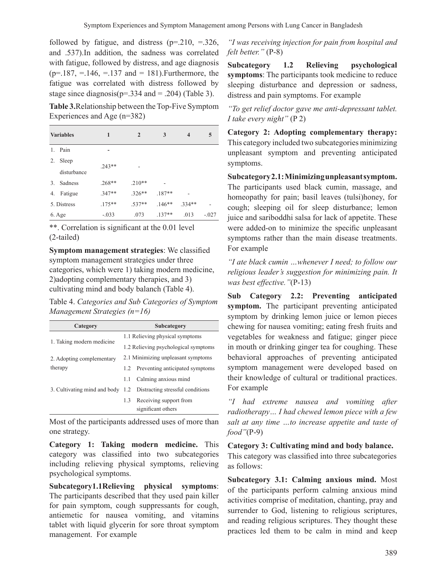followed by fatigue, and distress  $(p=0.210, -0.326,$ and .537).In addition, the sadness was correlated with fatigue, followed by distress, and age diagnosis  $(p=.187, = .146, = .137$  and = 181). Furthermore, the fatigue was correlated with distress followed by stage since diagnosis( $p=.334$  and  $=.204$ ) (Table 3).

Table 3.Relationship between the Top-Five Symptom Experiences and Age (n=382)

|    | <b>Variables</b> | 1        | $\overline{2}$ | 3        | $\overline{\mathbf{4}}$ | 5       |
|----|------------------|----------|----------------|----------|-------------------------|---------|
| 1. | Pain             |          |                |          |                         |         |
| 2. | Sleep            | $.243**$ |                |          |                         |         |
|    | disturbance      |          |                |          |                         |         |
| 3. | Sadness          | $.268**$ | $.210**$       |          |                         |         |
| 4. | Fatigue          | $.347**$ | $.326**$       | $.187**$ |                         |         |
|    | 5. Distress      | $.175**$ | $.537**$       | $.146**$ | $.334**$                |         |
|    | 6. Age           | $-.033$  | .073           | $.137**$ | .013                    | $-.027$ |

\*\*. Correlation is significant at the 0.01 level (2-tailed)

**Symptom management strategies**: We classified symptom management strategies under three categories, which were 1) taking modern medicine, 2)adopting complementary therapies, and 3) cultivating mind and body balanch (Table 4).

Table 4. *Categories and Sub Categories of Symptom Management Strategies (n=16)*

| Category                  |                                      | Subcategory                                                       |  |  |
|---------------------------|--------------------------------------|-------------------------------------------------------------------|--|--|
| 1. Taking modern medicine | 1.1 Relieving physical symptoms      |                                                                   |  |  |
|                           | 1.2 Relieving psychological symptoms |                                                                   |  |  |
| 2. Adopting complementary |                                      | 2.1 Minimizing unpleasant symptoms                                |  |  |
| therapy                   |                                      | 1.2 Preventing anticipated symptoms                               |  |  |
|                           | 1.1                                  | Calming anxious mind                                              |  |  |
|                           |                                      | 3. Cultivating mind and body 1.2 Distracting stressful conditions |  |  |
|                           | 1.3                                  | Receiving support from                                            |  |  |
|                           |                                      | significant others                                                |  |  |

Most of the participants addressed uses of more than one strategy.

**Category 1: Taking modern medicine.** This category was classified into two subcategories including relieving physical symptoms, relieving psychological symptoms.

**Subcategory1.1Relieving physical symptoms**: The participants described that they used pain killer for pain symptom, cough suppressants for cough, antiemetic for nausea vomiting, and vitamins tablet with liquid glycerin for sore throat symptom management. For example

*"I was receiving injection for pain from hospital and felt better."* (P-8)

**Subcategory 1.2 Relieving psychological symptoms**: The participants took medicine to reduce sleeping disturbance and depression or sadness, distress and pain symptoms. For example

*"To get relief doctor gave me anti-depressant tablet. I take every night"* (P 2)

**Category 2: Adopting complementary therapy:**  This category included two subcategories minimizing unpleasant symptom and preventing anticipated symptoms.

**Subcategory 2.1: Minimizing unpleasant symptom.** The participants used black cumin, massage, and homeopathy for pain; basil leaves (tulsi)honey, for cough; sleeping oil for sleep disturbance; lemon juice and sariboddhi salsa for lack of appetite. These were added-on to minimize the specific unpleasant symptoms rather than the main disease treatments. For example

*"I ate black cumin …whenever I need; to follow our religious leader's suggestion for minimizing pain. It was best effective."*(P-13)

**Sub Category 2.2: Preventing anticipated symptom.** The participant preventing anticipated symptom by drinking lemon juice or lemon pieces chewing for nausea vomiting; eating fresh fruits and vegetables for weakness and fatigue; ginger piece in mouth or drinking ginger tea for coughing. These behavioral approaches of preventing anticipated symptom management were developed based on their knowledge of cultural or traditional practices. For example

*"I had extreme nausea and vomiting after radiotherapy… I had chewed lemon piece with a few salt at any time …to increase appetite and taste of food"*(P-9)

**Category 3: Cultivating mind and body balance.** This category was classified into three subcategories as follows:

**Subcategory 3.1: Calming anxious mind.** Most of the participants perform calming anxious mind activities comprise of meditation, chanting, pray and surrender to God, listening to religious scriptures, and reading religious scriptures. They thought these practices led them to be calm in mind and keep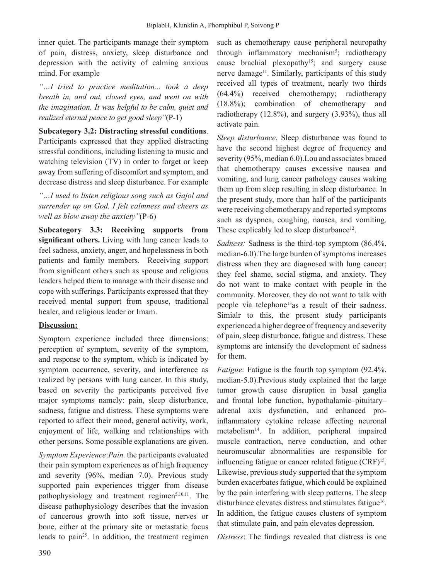inner quiet. The participants manage their symptom of pain, distress, anxiety, sleep disturbance and depression with the activity of calming anxious mind. For example

*"…I tried to practice meditation... took a deep breath in, and out, closed eyes, and went on with the imagination. It was helpful to be calm, quiet and realized eternal peace to get good sleep"*(P-1)

**Subcategory 3.2: Distracting stressful conditions**. Participants expressed that they applied distracting stressful conditions, including listening to music and watching television (TV) in order to forget or keep away from suffering of discomfort and symptom, and decrease distress and sleep disturbance. For example

*"…I used to listen religious song such as Gajol and surrender up on God. I felt calmness and cheers as well as blow away the anxiety"*(P-6)

**Subcategory 3.3: Receiving supports from significant others.** Living with lung cancer leads to feel sadness, anxiety, anger, and hopelessness in both patients and family members. Receiving support from significant others such as spouse and religious leaders helped them to manage with their disease and cope with sufferings. Participants expressed that they received mental support from spouse, traditional healer, and religious leader or Imam.

# **Discussion:**

Symptom experience included three dimensions: perception of symptom, severity of the symptom, and response to the symptom, which is indicated by symptom occurrence, severity, and interference as realized by persons with lung cancer. In this study, based on severity the participants perceived five major symptoms namely: pain, sleep disturbance, sadness, fatigue and distress. These symptoms were reported to affect their mood, general activity, work, enjoyment of life, walking and relationships with other persons. Some possible explanations are given.

*Symptom Experience*:*Pain.* the participants evaluated their pain symptom experiences as of high frequency and severity (96%, median 7.0). Previous study supported pain experiences trigger from disease pathophysiology and treatment regimen<sup>5,10,11</sup>. The disease pathophysiology describes that the invasion of cancerous growth into soft tissue, nerves or bone, either at the primary site or metastatic focus leads to pain<sup>25</sup>. In addition, the treatment regimen such as chemotherapy cause peripheral neuropathy through inflammatory mechanism<sup>5</sup>; radiotherapy cause brachial plexopathy<sup>15</sup>; and surgery cause nerve damage<sup>11</sup>. Similarly, participants of this study received all types of treatment, nearly two thirds (64.4%) received chemotherapy; radiotherapy (18.8%); combination of chemotherapy and radiotherapy (12.8%), and surgery (3.93%), thus all activate pain.

*Sleep disturbance.* Sleep disturbance was found to have the second highest degree of frequency and severity (95%, median 6.0).Lou and associates braced that chemotherapy causes excessive nausea and vomiting, and lung cancer pathology causes waking them up from sleep resulting in sleep disturbance. In the present study, more than half of the participants were receiving chemotherapy and reported symptoms such as dyspnea, coughing, nausea, and vomiting. These explicably led to sleep disturbance<sup>12</sup>.

*Sadness:* Sadness is the third-top symptom (86.4%, median-6.0).The large burden of symptoms increases distress when they are diagnosed with lung cancer; they feel shame, social stigma, and anxiety. They do not want to make contact with people in the community. Moreover, they do not want to talk with people via telephone<sup>13</sup>as a result of their sadness. Simialr to this, the present study participants experienced a higher degree of frequency and severity of pain, sleep disturbance, fatigue and distress. These symptoms are intensify the development of sadness for them.

*Fatigue:* Fatigue is the fourth top symptom (92.4%, median-5.0).Previous study explained that the large tumor growth cause disruption in basal ganglia and frontal lobe function, hypothalamic–pituitary– adrenal axis dysfunction, and enhanced proinflammatory cytokine release affecting neuronal metabolism14. In addition, peripheral impaired muscle contraction, nerve conduction, and other neuromuscular abnormalities are responsible for influencing fatigue or cancer related fatigue (CRF)<sup>15</sup>. Likewise, previous study supported that the symptom burden exacerbates fatigue, which could be explained by the pain interfering with sleep patterns. The sleep disturbance elevates distress and stimulates fatigue<sup>16</sup>. In addition, the fatigue causes clusters of symptom that stimulate pain, and pain elevates depression.

*Distress*: The findings revealed that distress is one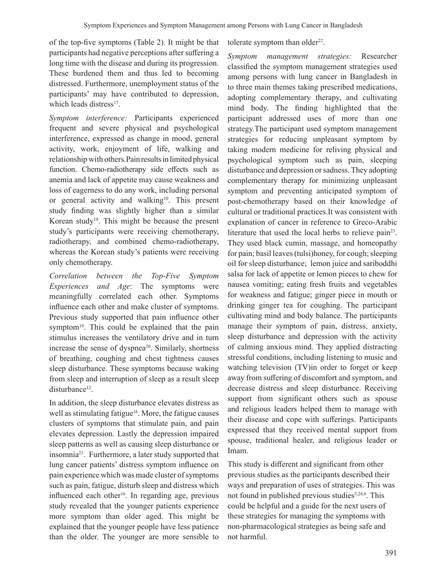of the top-five symptoms (Table 2). It might be that participants had negative perceptions after suffering a long time with the disease and during its progression. These burdened them and thus led to becoming distressed. Furthermore, unemployment status of the participants' may have contributed to depression, which leads distress $17$ .

*Symptom interference:* Participants experienced frequent and severe physical and psychological interference, expressed as change in mood, general activity, work, enjoyment of life, walking and relationship with others*.*Pain resultsin limited physical function. Chemo-radiotherapy side effects such as anemia and lack of appetite may cause weakness and loss of eagerness to do any work, including personal or general activity and walking<sup>10</sup>. This present study finding was slightly higher than a similar Korean study18. This might be because the present study's participants were receiving chemotherapy, radiotherapy, and combined chemo-radiotherapy, whereas the Korean study's patients were receiving only chemotherapy.

*Correlation between the Top*-*Five Symptom Experiences and Age*: The symptoms were meaningfully correlated each other. Symptoms influence each other and make cluster of symptoms. Previous study supported that pain influence other symptom $19$ . This could be explained that the pain stimulus increases the ventilatory drive and in turn increase the sense of dyspnea<sup>20</sup>. Similarly, shortness of breathing, coughing and chest tightness causes sleep disturbance. These symptoms because waking from sleep and interruption of sleep as a result sleep disturbance<sup>12</sup>.

In addition, the sleep disturbance elevates distress as well as stimulating fatigue<sup>16</sup>. More, the fatigue causes clusters of symptoms that stimulate pain, and pain elevates depression. Lastly the depression impaired sleep patterns as well as causing sleep disturbance or insomnia21. Furthermore, a later study supported that lung cancer patients' distress symptom influence on pain experience which was made cluster of symptoms such as pain, fatigue, disturb sleep and distress which influenced each other<sup>16</sup>. In regarding age, previous study revealed that the younger patients experience more symptom than older aged. This might be explained that the younger people have less patience than the older. The younger are more sensible to tolerate symptom than older<sup>22</sup>.

*Symptom management strategies:* Researcher classified the symptom management strategies used among persons with lung cancer in Bangladesh in to three main themes taking prescribed medications, adopting complementary therapy, and cultivating mind body. The finding highlighted that the participant addressed uses of more than one strategy.The participant used symptom management strategies for reducing unpleasant symptom by taking modern medicine for reliving physical and psychological symptom such as pain, sleeping disturbance and depression or sadness. They adopting complementary therapy for minimizing unpleasant symptom and preventing anticipated symptom of post-chemotherapy based on their knowledge of cultural or traditional practices.It was consistent with explanation of cancer in reference to Greco-Arabic literature that used the local herbs to relieve pain<sup>23</sup>. They used black cumin, massage, and homeopathy for pain; basil leaves (tulsi)honey, for cough; sleeping oil for sleep disturbance; lemon juice and sariboddhi salsa for lack of appetite or lemon pieces to chew for nausea vomiting; eating fresh fruits and vegetables for weakness and fatigue; ginger piece in mouth or drinking ginger tea for coughing. The participant cultivating mind and body balance. The participants manage their symptom of pain, distress, anxiety, sleep disturbance and depression with the activity of calming anxious mind. They applied distracting stressful conditions, including listening to music and watching television (TV)in order to forget or keep away from suffering of discomfort and symptom, and decrease distress and sleep disturbance. Receiving support from significant others such as spouse and religious leaders helped them to manage with their disease and cope with sufferings. Participants expressed that they received mental support from spouse, traditional healer, and religious leader or Imam.

This study is different and significant from other previous studies as the participants described their ways and preparation of uses of strategies. This was not found in published previous studies $5,24,6$ . This could be helpful and a guide for the next users of these strategies for managing the symptoms with non-pharmacological strategies as being safe and not harmful.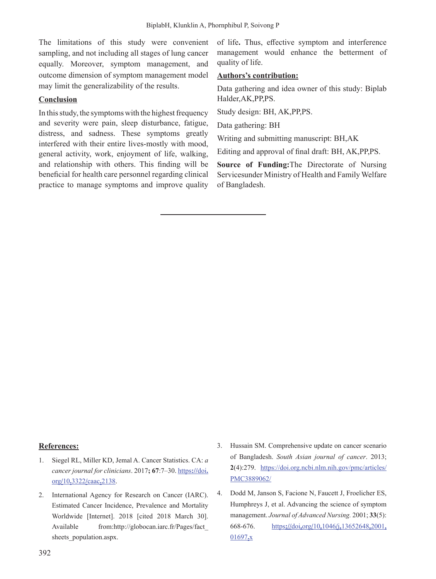The limitations of this study were convenient sampling, and not including all stages of lung cancer equally. Moreover, symptom management, and outcome dimension of symptom management model may limit the generalizability of the results.

### **Conclusion**

In this study, the symptoms with the highest frequency and severity were pain, sleep disturbance, fatigue, distress, and sadness. These symptoms greatly interfered with their entire lives-mostly with mood, general activity, work, enjoyment of life, walking, and relationship with others. This finding will be beneficial for health care personnel regarding clinical practice to manage symptoms and improve quality of life**.** Thus, effective symptom and interference management would enhance the betterment of quality of life.

#### **Authors's contribution:**

Data gathering and idea owner of this study: Biplab Halder,AK,PP,PS.

Study design: BH, AK,PP,PS.

Data gathering: BH

Writing and submitting manuscript: BH,AK

Editing and approval of final draft: BH, AK,PP,PS.

**Source of Funding:**The Directorate of Nursing Servicesunder Ministry of Health and Family Welfare of Bangladesh.

#### **References:**

- 1. Siegel RL, Miller KD, Jemal A. Cancer Statistics. CA: *a cancer journal for clinicians*. 2017**; 67**:7–30. https**://**doi**.** org**/**10**.**3322**/**caac**.**2138.
- 2. International Agency for Research on Cancer (IARC). Estimated Cancer Incidence, Prevalence and Mortality Worldwide [Internet]. 2018 [cited 2018 March 30]. Available from:http://globocan.iarc.fr/Pages/fact\_ sheets population.aspx.
- 3. Hussain SM. Comprehensive update on cancer scenario of Bangladesh. *South Asian journal of cancer*. 2013; **2**(4):279. https://doi.org.ncbi.nlm.nih.gov/pmc/articles/ PMC3889062/
- 4. Dodd M, Janson S, Facione N, Faucett J, Froelicher ES, Humphreys J, et al. Advancing the science of symptom management. *Journal of Advanced Nursing.* 2001; **33**(5): 668-676. https**://**doi**.**org**/**10**.**1046**/**j**.**13652648**.**2001**.**  01697**.**x